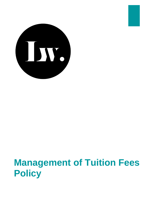

# **Management of Tuition Fees Policy**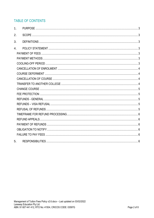# TABLE OF CONTENTS

| 1. |  |
|----|--|
| 2. |  |
| 3. |  |
| 4. |  |
|    |  |
|    |  |
|    |  |
|    |  |
|    |  |
|    |  |
|    |  |
|    |  |
|    |  |
|    |  |
|    |  |
|    |  |
|    |  |
|    |  |
|    |  |
|    |  |
|    |  |
| 5. |  |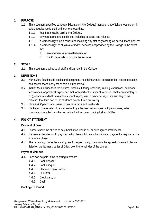# <span id="page-2-0"></span>**1. PURPOSE**

- 1.1 This document specifies Laneway Education's (the College) management of tuition fees policy. It sets out guidance to staff and learners regarding:
	- 1.1.1 fees that must be paid to the College;
	- 1.1.2 payment terms and conditions, including deposits and refunds;
	- 1.1.3 a learner's rights as a consumer, including any statutory cooling-off period, if one applies;
	- 1.1.4 a learner's right to obtain a refund for services not provided by the College in the event the:
		- a) arrangement is terminated early; or
		- b) the College fails to provide the services.

#### <span id="page-2-1"></span>**2. SCOPE**

2.1 This document applies to all staff and learners in the College.

#### <span id="page-2-2"></span>**3. DEFINITIONS**

- 3.1 *Non-tuition fees* include books and equipment, health insurance, administration, accommodation, and assistance to apply for or hold a student visa.
- 3.2 *Tuition fees* include fees for lectures, tutorials, tutoring sessions, training, excursions, fieldwork, laboratories, or practical experience that form part of the student's course (whether mandatory or not), or are intended to assist the student to progress in their course, or are ancillary to the activities that form part of the student's course listed previously.
- 3.3 *Cooling-Off period* is inclusive of business days and weekends
- 3.4 *Packaged course* refers to an enrolment by a learner that includes multiple courses, to be completed one after the other as outlined in the corresponding Letter of Offer.

#### <span id="page-2-4"></span><span id="page-2-3"></span>**4. POLICY STATEMENT**

#### **Payment of Fees**

- 4.1 Learners have the choice to pay their tuition fees in full or over agreed instalments.
- 4.2 If a learner decides not to pay their tuition fees in full, an initial minimum payment is required at the time of enrolment.
- 4.3 The remaining course fees, if any, are to be paid in alignment with the agreed instalment plan as listed on the learner's Letter of Offer, over the remainder of the course.

#### <span id="page-2-5"></span>**Payment Methods**

- 4.4 Fees can be paid in the following methods:
	- 4.4.1 Bank deposit;
	- 4.4.2 Bank cheque;
	- 4.4.3 Electronic bank transfer;
	- 4.4.4 EFTPOS;
	- 4.4.5 Credit card; or
	- 4.4.6 Cash.

#### <span id="page-2-6"></span>**Cooling-Off Period**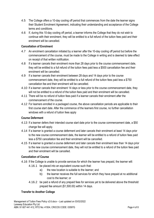- 4.5 The College offers a 10-day cooling off period that commences from the date the learner signs their Student Enrolment Agreement, indicating their understanding and acceptance of the College terms and conditions.
- 4.6 If, during this 10-day cooling off period, a learner informs the College that they do not wish to continue with their enrolment, they will be entitled to a full refund of the tuition fees paid and their enrolment will be cancelled.

#### <span id="page-3-0"></span>**Cancellation of Enrolment**

- 4.7 An enrolment cancellation initiated by a learner *after* the 10-day cooling off period but before the commencement of the course, must be made to the College in writing and is deemed to take effect on receipt of that written notification.
- 4.8 If a learner cancels their enrolment more than 28 days prior to the course commencement date, they will be entitled to a full refund of the tuition fees paid less a \$500 cancellation fee and their enrolment will be cancelled.
- 4.9 If a learner cancels their enrolment between 28 days and 14 days prior to the course commencement date, they will be entitled to a full refund of the tuition fees paid less a \$750 cancellation fee and their enrolment will be cancelled.
- 4.10 If a learner cancels their enrolment 14 days or less prior to the course commencement date, they will not be entitled to a refund of the tuition fees paid and their enrolment will be cancelled.
- 4.11 There will be no refund of tuition fees paid if a learner cancels their enrolment after the commencement of the course.
- 4.12 For learners enrolled in a packaged course, the above cancellation periods are applicable to their first course start date. After the commence of the learners first course, no further cancellation windows with a refund of tuition fees apply

# <span id="page-3-1"></span>**Course Deferment**

- 4.13 If a learner defers their intended course start date prior to the course commencement date, a \$50 change fee will apply.
- 4.14 If a learner is granted a course deferment and later cancels their enrolment at least 14 days prior to the new course commencement date, the learner will be entitled to a refund of tuition fees paid less a \$750 cancellation fee and their enrolment will be cancelled.
- 4.15 If a learner is granted a course deferment and later cancels their enrolment less than 14 days prior to the new course commencement date, they will not be entitled to a refund of the tuition fees paid and their enrolment will be cancelled.

# <span id="page-3-2"></span>**Cancellation of Course**

- 4.16 If the College is unable to provide services for which the learner has prepaid, the learner will:
	- 4.16.1 be placed into an equivalent course such that:
		- a) the new location is suitable to the learner; and
		- b) the learner receives the full services for which they have prepaid at no additional cost to the learner; or
	- 4.16.2 be paid a refund of any prepaid fees for services yet to be delivered above the threshold prepaid fee amount (\$1,500.00) within 14 days.

# <span id="page-3-3"></span>**Transfer to Another College**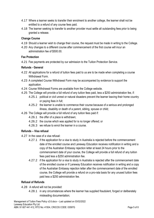- 4.17 Where a learner seeks to transfer their enrolment to another college, the learner shall not be entitled to a refund of any course fees paid.
- 4.18 The learner seeking to transfer to another provider must settle all outstanding fees prior to being granted a release.

# <span id="page-4-0"></span>**Change Course**

- 4.19 Should a learner wish to change their course, the request must be made in writing to the College.
- 4.20 Any changes to a different course after commencement of the first course will incur an administration fee of \$500.00.

# <span id="page-4-1"></span>**Fee Protection**

4.21 Fee payments are protected by our admission to the Tuition Protection Service.

#### <span id="page-4-2"></span>**Refunds - General**

- 4.22 All applications for a refund of tuition fees paid to us are to be made when completing a course Withdrawal Form.
- 4.23 A completed Course Withdrawal Form may be accompanied by evidence to support the application.
- 4.24 Course Withdrawal Forms are available from the College website.
- 4.25 The College will provide a full refund of any tuition fees paid, less a \$250 administration fee, if:
	- 4.25.1 political or civil unrest or natural disasters prevent the learner leaving their home country or paying fees in full;
	- 4.25.2 the learner is unable to commence their course because of a serious and prolonged illness, disability or death of a parent, sibling, spouse or child;
- 4.26 The College will provide a full refund of any tuition fees paid if:
	- 4.26.1 the offer of a place is withdrawn;
	- 4.26.2 the course which was applied for is no longer offered; or
	- 4.26.3 we refuse to enrol the learner in a course.

# <span id="page-4-3"></span>**Refunds – Visa refusal**

- 4.27 In the case of a visa refusal:
	- 4.27.1 if the application for a visa to study in Australia is rejected before the commencement date of the enrolled course and Laneway Education receives notification in writing and a copy of the Australian Embassy rejection letter at least 24 hours prior to the commencement date of your course, the College will provide a full refund of any tuition fees paid less a \$250 administration fee.
	- 4.27.2 if the application for a visa to study in Australia is rejected after the commencement date of the enrolled course or if Laneway Education receives notification in writing and a copy of the Australian Embassy rejection letter after the commencement date of the enrolled course, the College will provide a refund on a pro-rata basis for any unused tuition fees paid less a \$250 administration fee.

#### <span id="page-4-4"></span>**Refusal of Refunds**

- 4.28 A refund will not be provided:
	- 4.28.1 in any circumstances where the learner has supplied fraudulent, forged or deliberately misleading documentation;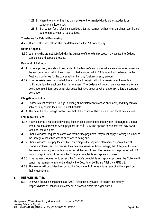- 4.28.2 where the learner has had their enrolment terminated due to either academic or behavioral misconduct;
- 4.28.3 if a request for a refund is submitted after the learner has had their enrolment terminated due to non-payment of course fees.

#### <span id="page-5-0"></span>**Timeframe for Refund Processing**

4.29 All applications for refund shall be determined within 10 working days.

#### <span id="page-5-1"></span>**Refund Appeals**

4.30 Learners who are not satisfied with the outcome of the refund process may access the College complaints and appeals process.

#### <span id="page-5-2"></span>**Payment of Refunds**

- 4.31 Once approved, refunds will be credited to the learner's account or where an account is named as the source account within the contract, to that account, within 28 days and will be based on the Australian dollar fee for the course rather than any foreign currency amount.
- 4.32 If the course is being terminated, the amount will be paid within four weeks after the written notification date by electronic transfer to a bank. The College will not compensate learners for any exchange rate differences or transfer costs that have occurred when undertaking foreign currency exchange.

#### <span id="page-5-3"></span>**Obligation to Notify**

- 4.33 Learners must notify the College in writing of their intention to cease enrolment, and they remain liable for any course fees due up until that date**.**
- 4.34 The date that the College confirms receipt of the notice will be the date used for all calculations.

#### <span id="page-5-4"></span>**Failure to Pay Fees**

- 4.35 It is the learner's responsibility to pay fees on time according to the payment plan agreed upon at time of course enrolment. A late payment fee of \$120 will be applied to students that pay owed fees after the due date.
- 4.36 Should a learner require an extension for their fee payments, they must apply in writing via email to the College at least two weeks prior to fees being due.
- 4.37 Should a learner not pay fees on time according to the payment plan agreed upon at time of course enrolment, and not discuss their payment issues with the College, the College will inform the learner in writing of its intention to cancel their enrolment. The learner will be provided with 20 working days in which to access the College's complaints and appeals process.
- 4.38 If the learner chooses not to access the College's complaints and appeals process, the College will cancel the learner's enrolment and notify the Department of Home Affairs via PRISMS.
- 4.39 The learner will be advised to contact the Department of Home Affairs regarding the impact on their student visa.

#### <span id="page-5-5"></span>**5. RESPONSIBILITIES**

5.1 Laneway Education implements a RASCI Responsibility Matrix to assign and display responsibilities of individuals to carry out a process within the organisation.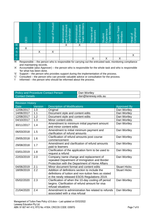|              | CEO    | Gro<br><b>P</b><br>Head | Product<br>$\overline{5}$<br>Head | Enrolment<br>Administration<br>Coordinator<br><b>Dure</b> | <b>Members</b><br>Enrolment<br>Administration<br>eam<br>and | rainers and<br>SSessors<br>◁ | Members<br>Experience<br>Team Memt<br>Student | Team<br>Members<br>Growth | Head of<br>Compliance |
|--------------|--------|-------------------------|-----------------------------------|-----------------------------------------------------------|-------------------------------------------------------------|------------------------------|-----------------------------------------------|---------------------------|-----------------------|
| R            |        |                         |                                   | $\checkmark$                                              | $\checkmark$                                                |                              |                                               |                           |                       |
| $\mathsf{A}$ | v<br>∧ |                         |                                   |                                                           |                                                             |                              |                                               |                           |                       |
| 'S           |        | v                       | ◡                                 |                                                           |                                                             |                              |                                               |                           |                       |
| $\mathbf C$  |        |                         |                                   |                                                           |                                                             |                              |                                               |                           | v                     |
|              |        |                         |                                   |                                                           |                                                             |                              |                                               |                           |                       |

- 'R' Responsible the person who is responsible for carrying out the entrusted task, monitoring compliance and maintaining records.
- 'A' Accountable (also Approver) the person who is responsible for the whole task and who is responsible 'for what has been done.
- 'S' Support the person who provides support during the implementation of the process.
- 'C' Consulted the person who can provide valuable advice or consultation for the process.
- Informed the person who should be informed about the process.

| <b>Policy and Procedure Contact Person</b> | Dan Wortley        |
|--------------------------------------------|--------------------|
| <b>Contact Details</b>                     | dan@laneway.edu.au |

|                               | CEO                                                                                                                                                                                                                                                                                                                                                                                                                                                                                                                          | <b>Head of Growth</b>                                                                                                               | <b>Head of Product</b>                                                                                                                                                         | and Enrolment<br>Coordinator<br>Administration | <b>Team Members</b><br>and Enrolment<br>Administration                      | Trainers and<br>Assessors | eam Members<br>Experience<br>Student | Growth Team<br>Members | Head of<br>Compliance |  |
|-------------------------------|------------------------------------------------------------------------------------------------------------------------------------------------------------------------------------------------------------------------------------------------------------------------------------------------------------------------------------------------------------------------------------------------------------------------------------------------------------------------------------------------------------------------------|-------------------------------------------------------------------------------------------------------------------------------------|--------------------------------------------------------------------------------------------------------------------------------------------------------------------------------|------------------------------------------------|-----------------------------------------------------------------------------|---------------------------|--------------------------------------|------------------------|-----------------------|--|
| $\overline{R}$                |                                                                                                                                                                                                                                                                                                                                                                                                                                                                                                                              |                                                                                                                                     |                                                                                                                                                                                | X                                              | X                                                                           |                           |                                      |                        |                       |  |
| $\frac{A}{S}$                 | X                                                                                                                                                                                                                                                                                                                                                                                                                                                                                                                            |                                                                                                                                     |                                                                                                                                                                                |                                                |                                                                             |                           |                                      |                        |                       |  |
|                               |                                                                                                                                                                                                                                                                                                                                                                                                                                                                                                                              | X                                                                                                                                   | X                                                                                                                                                                              |                                                |                                                                             |                           |                                      |                        | X                     |  |
|                               |                                                                                                                                                                                                                                                                                                                                                                                                                                                                                                                              |                                                                                                                                     |                                                                                                                                                                                |                                                |                                                                             | X                         | X                                    | X                      |                       |  |
| 'R'<br>'A'<br>ʻS'<br>'C'<br>Ŧ | Responsible - the person who is responsible for carrying out the entrusted task, monitoring compliance<br>and maintaining records.<br>Accountable (also Approver) – the person who is responsible for the whole task and who is responsible<br>'for what has been done.<br>Support – the person who provides support during the implementation of the process.<br>Consulted - the person who can provide valuable advice or consultation for the process.<br>Informed - the person who should be informed about the process. |                                                                                                                                     |                                                                                                                                                                                |                                                |                                                                             |                           |                                      |                        |                       |  |
|                               |                                                                                                                                                                                                                                                                                                                                                                                                                                                                                                                              | <b>Policy and Procedure Contact Person</b>                                                                                          |                                                                                                                                                                                |                                                | Dan Wortley                                                                 |                           |                                      |                        |                       |  |
|                               | <b>Contact Details</b>                                                                                                                                                                                                                                                                                                                                                                                                                                                                                                       |                                                                                                                                     |                                                                                                                                                                                |                                                |                                                                             | dan@laneway.edu.au        |                                      |                        |                       |  |
|                               |                                                                                                                                                                                                                                                                                                                                                                                                                                                                                                                              |                                                                                                                                     |                                                                                                                                                                                |                                                |                                                                             |                           |                                      |                        |                       |  |
|                               | <b>Revision History</b>                                                                                                                                                                                                                                                                                                                                                                                                                                                                                                      |                                                                                                                                     |                                                                                                                                                                                |                                                |                                                                             |                           |                                      |                        |                       |  |
| <b>Date</b>                   |                                                                                                                                                                                                                                                                                                                                                                                                                                                                                                                              | Version                                                                                                                             |                                                                                                                                                                                | <b>Description of Modifications</b>            |                                                                             |                           |                                      | <b>Approved By</b>     |                       |  |
|                               | 12/06/2017                                                                                                                                                                                                                                                                                                                                                                                                                                                                                                                   | 1.0                                                                                                                                 | Original                                                                                                                                                                       |                                                |                                                                             |                           |                                      |                        | Dan Wortley           |  |
|                               | 14/06/2017<br>1.1<br>Document style and content edits                                                                                                                                                                                                                                                                                                                                                                                                                                                                        |                                                                                                                                     |                                                                                                                                                                                |                                                |                                                                             |                           |                                      | Dan Wortley            |                       |  |
|                               | 12/08/2017<br>1.2<br>Document style and content edits                                                                                                                                                                                                                                                                                                                                                                                                                                                                        |                                                                                                                                     |                                                                                                                                                                                |                                                |                                                                             |                           |                                      | Dan Wortley            |                       |  |
|                               | 04/10/2017                                                                                                                                                                                                                                                                                                                                                                                                                                                                                                                   | 1.3                                                                                                                                 |                                                                                                                                                                                | Minor content edits                            |                                                                             |                           |                                      | Dan Wortley            |                       |  |
| 30/11/2017<br>1.4             |                                                                                                                                                                                                                                                                                                                                                                                                                                                                                                                              |                                                                                                                                     |                                                                                                                                                                                | and minor content edits                        | Amendment to minimum initial payment amount                                 | Dan Wortley               |                                      |                        |                       |  |
|                               | 06/03/2018                                                                                                                                                                                                                                                                                                                                                                                                                                                                                                                   | 1.5                                                                                                                                 |                                                                                                                                                                                |                                                | Amendment to initial minimum payment and<br>clarification of refund amounts |                           |                                      | Dan Wortley            |                       |  |
|                               | Clarification of refund amounts post course<br>29/05/2018<br>1.6<br>commencement                                                                                                                                                                                                                                                                                                                                                                                                                                             |                                                                                                                                     |                                                                                                                                                                                |                                                | Dan Wortley                                                                 |                           |                                      |                        |                       |  |
|                               | Amendment and clarification of refund amounts<br>29/08/2018<br>1.7<br>paid to learners                                                                                                                                                                                                                                                                                                                                                                                                                                       |                                                                                                                                     |                                                                                                                                                                                |                                                |                                                                             | Dan Wortley               |                                      |                        |                       |  |
|                               | Clarification of the application form to be used to<br>Dan Wortley<br>03/01/2019<br>1.8<br>request a refund                                                                                                                                                                                                                                                                                                                                                                                                                  |                                                                                                                                     |                                                                                                                                                                                |                                                |                                                                             |                           |                                      |                        |                       |  |
|                               | 22/03/2019                                                                                                                                                                                                                                                                                                                                                                                                                                                                                                                   | 2.0                                                                                                                                 | Company name change and replacement of<br>Dan Wortley<br>repealed Department of Immigration and Border<br>Protection with the Department of Home Affairs                       |                                                |                                                                             |                           |                                      |                        |                       |  |
|                               | Minor document format and content edits<br>04/06/2019<br>2.1                                                                                                                                                                                                                                                                                                                                                                                                                                                                 |                                                                                                                                     |                                                                                                                                                                                |                                                |                                                                             |                           | <b>Stuart Hicks</b>                  |                        |                       |  |
|                               | 18/09/2019                                                                                                                                                                                                                                                                                                                                                                                                                                                                                                                   | 2.2                                                                                                                                 | Addition of definitions section to include the<br><b>Stuart Hicks</b><br>definitions of tuition and non-tuition fees as stated<br>in the newly released ESOS Regulations 2019. |                                                |                                                                             |                           |                                      |                        |                       |  |
|                               | 05/02/2020                                                                                                                                                                                                                                                                                                                                                                                                                                                                                                                   | 2.3                                                                                                                                 | Dan Wortley<br>Clarification of when the 10-day cooling off period<br>begins. Clarification of refund amount for visa<br>refusal situations                                    |                                                |                                                                             |                           |                                      |                        |                       |  |
|                               | 21/04/2020                                                                                                                                                                                                                                                                                                                                                                                                                                                                                                                   | 2.4                                                                                                                                 | Amendment to administration fee related to refunds<br>Dan Wortley<br>associated with a visa refusal                                                                            |                                                |                                                                             |                           |                                      |                        |                       |  |
|                               | Laneway Education Pty Ltd                                                                                                                                                                                                                                                                                                                                                                                                                                                                                                    | Management of Tuition Fees Policy v2.6.docx - Last updated on 03/02/2022<br>ABN: 91 607 441 412, RTO No: 41504, CRICOS CODE: 03597G |                                                                                                                                                                                |                                                |                                                                             |                           |                                      |                        | Page 7 of 8           |  |